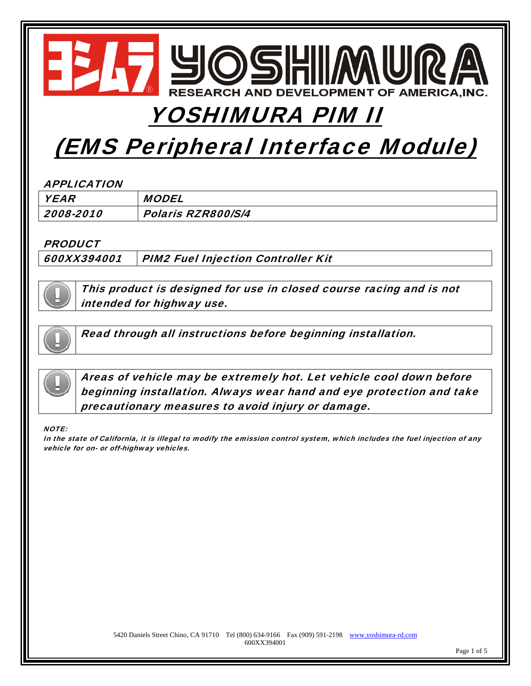

# YOSHIMURA PIM II

# (EMS Peripheral Interface Module)

#### APPLICATION

| <b>YEAR</b> | <b>MODEL</b>       |
|-------------|--------------------|
| 2008-2010   | Polaris RZR800/S/4 |

#### **PRODUCT**

600XX394001 PIM2 Fuel Injection Controller Kit



This product is designed for use in closed course racing and is not intended for highway use.



Read through all instructions before beginning installation.



Areas of vehicle may be extremely hot. Let vehicle cool down before beginning installation. Always wear hand and eye protection and take precautionary measures to avoid injury or damage.

#### NOTE:

In the state of California, it is illegal to modify the emission control system, which includes the fuel injection of any vehicle for on- or off-highway vehicles.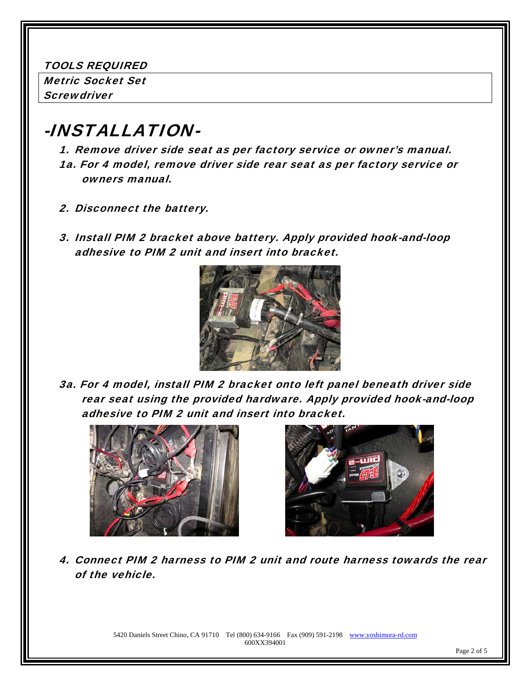TOOLS REQUIRED

Metric Socket Set **Screwdriver** 

### -INSTALLATION-

1. Remove driver side seat as per factory service or owner's manual. 1a. For 4 model, remove driver side rear seat as per factory service or owners manual.

- 2. Disconnect the battery.
- 3. Install PIM 2 bracket above battery. Apply provided hook-and-loop adhesive to PIM 2 unit and insert into bracket.



3a. For 4 model, install PIM 2 bracket onto left panel beneath driver side rear seat using the provided hardware. Apply provided hook-and-loop adhesive to PIM 2 unit and insert into bracket.





4. Connect PIM 2 harness to PIM 2 unit and route harness towards the rear of the vehicle.

> 5420 Daniels Street Chino, CA 91710 Tel (800) 634-9166 Fax (909) 591-2198 www.yoshimura-rd.com 600XX394001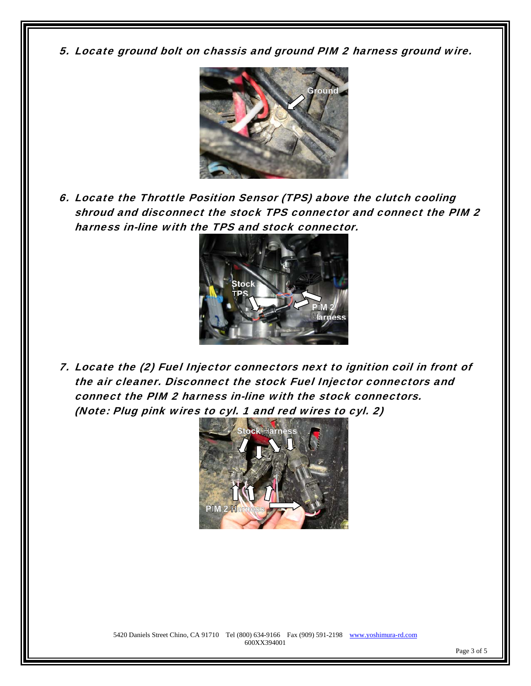5. Locate ground bolt on chassis and ground PIM 2 harness ground wire.



6. Locate the Throttle Position Sensor (TPS) above the clutch cooling shroud and disconnect the stock TPS connector and connect the PIM 2 harness in-line with the TPS and stock connector.



7. Locate the (2) Fuel Injector connectors next to ignition coil in front of the air cleaner. Disconnect the stock Fuel Injector connectors and connect the PIM 2 harness in-line with the stock connectors. (Note: Plug pink wires to cyl. 1 and red wires to cyl. 2)

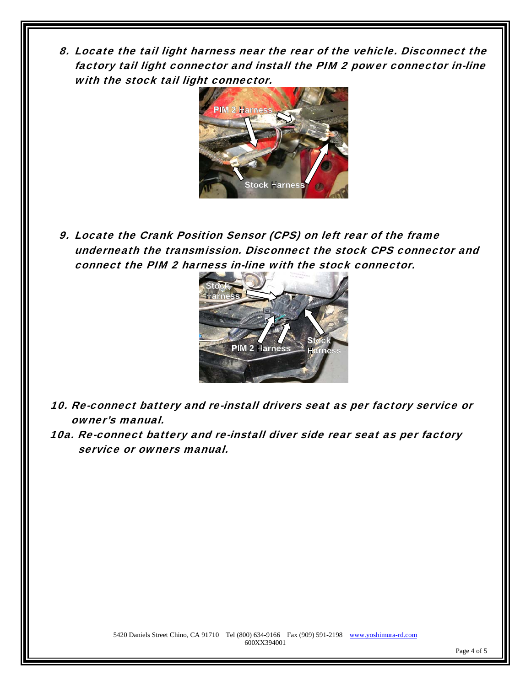8. Locate the tail light harness near the rear of the vehicle. Disconnect the factory tail light connector and install the PIM 2 power connector in-line with the stock tail light connector.



9. Locate the Crank Position Sensor (CPS) on left rear of the frame underneath the transmission. Disconnect the stock CPS connector and connect the PIM 2 harness in-line with the stock connector.



- 10. Re-connect battery and re-install drivers seat as per factory service or owner's manual.
- 10a. Re-connect battery and re-install diver side rear seat as per factory service or owners manual.